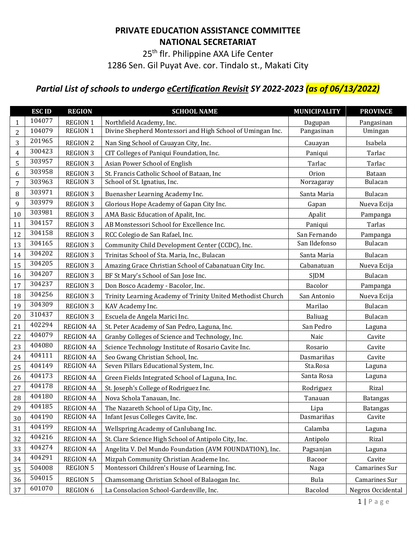## **PRIVATE EDUCATION ASSISTANCE COMMITTEE NATIONAL SECRETARIAT**

25<sup>th</sup> flr. Philippine AXA Life Center

1286 Sen. Gil Puyat Ave. cor. Tindalo st., Makati City

## *Partial List of schools to undergo eCertification Revisit SY 2022-2023 (as of 06/13/2022)*

|                | <b>ESCID</b> | <b>REGION</b>    | <b>SCHOOL NAME</b>                                          | <b>MUNICIPALITY</b> | <b>PROVINCE</b>      |
|----------------|--------------|------------------|-------------------------------------------------------------|---------------------|----------------------|
| $\mathbf{1}$   | 104077       | <b>REGION 1</b>  | Northfield Academy, Inc.                                    | Dagupan             | Pangasinan           |
| 2              | 104079       | <b>REGION 1</b>  | Divine Shepherd Montessori and High School of Umingan Inc.  | Pangasinan          | Umingan              |
| 3              | 201965       | <b>REGION 2</b>  | Nan Sing School of Cauayan City, Inc.                       | Cauayan             | Isabela              |
| $\overline{4}$ | 300423       | <b>REGION 3</b>  | CIT Colleges of Paniqui Foundation, Inc.                    | Paniqui             | Tarlac               |
| 5              | 303957       | <b>REGION 3</b>  | Asian Power School of English                               | Tarlac              | Tarlac               |
| 6              | 303958       | <b>REGION 3</b>  | St. Francis Catholic School of Bataan, Inc                  | Orion               | Bataan               |
| 7              | 303963       | <b>REGION 3</b>  | School of St. Ignatius, Inc.                                | Norzagaray          | Bulacan              |
| 8              | 303971       | <b>REGION 3</b>  | Buenasher Learning Academy Inc.                             | Santa Maria         | Bulacan              |
| 9              | 303979       | <b>REGION 3</b>  | Glorious Hope Academy of Gapan City Inc.                    | Gapan               | Nueva Ecija          |
| 10             | 303981       | <b>REGION 3</b>  | AMA Basic Education of Apalit, Inc.                         | Apalit              | Pampanga             |
| 11             | 304157       | <b>REGION 3</b>  | AB Monstessori School for Excellence Inc.                   | Paniqui             | Tarlas               |
| 12             | 304158       | <b>REGION 3</b>  | RCC Colegio de San Rafael, Inc.                             | San Fernando        | Pampanga             |
| 13             | 304165       | <b>REGION 3</b>  | Community Child Development Center (CCDC), Inc.             | San Ildefonso       | Bulacan              |
| 14             | 304202       | <b>REGION 3</b>  | Trinitas School of Sta. Maria, Inc., Bulacan                | Santa Maria         | Bulacan              |
| 15             | 304205       | <b>REGION 3</b>  | Amazing Grace Christian School of Cabanatuan City Inc.      | Cabanatuan          | Nueva Ecija          |
| 16             | 304207       | <b>REGION 3</b>  | BF St Mary's School of San Jose Inc.                        | <b>SJDM</b>         | Bulacan              |
| 17             | 304237       | <b>REGION 3</b>  | Don Bosco Academy - Bacolor, Inc.                           | Bacolor             | Pampanga             |
| 18             | 304256       | <b>REGION 3</b>  | Trinity Learning Academy of Trinity United Methodist Church | San Antonio         | Nueva Ecija          |
| 19             | 304309       | <b>REGION 3</b>  | KAV Academy Inc.                                            | Marilao             | Bulacan              |
| 20             | 310437       | <b>REGION 3</b>  | Escuela de Angela Marici Inc.                               | <b>Baliuag</b>      | Bulacan              |
| 21             | 402294       | <b>REGION 4A</b> | St. Peter Academy of San Pedro, Laguna, Inc.                | San Pedro           | Laguna               |
| 22             | 404079       | <b>REGION 4A</b> | Granby Colleges of Science and Technology, Inc.             | Naic                | Cavite               |
| 23             | 404080       | <b>REGION 4A</b> | Science Technology Institute of Rosario Cavite Inc.         | Rosario             | Cavite               |
| 24             | 404111       | <b>REGION 4A</b> | Seo Gwang Christian School, Inc.                            | Dasmariñas          | Cavite               |
| 25             | 404149       | <b>REGION 4A</b> | Seven Pillars Educational System, Inc.                      | Sta.Rosa            | Laguna               |
| 26             | 404173       | <b>REGION 4A</b> | Green Fields Integrated School of Laguna, Inc.              | Santa Rosa          | Laguna               |
| 27             | 404178       | <b>REGION 4A</b> | St. Joseph's College of Rodriguez Inc.                      | Rodriguez           | Rizal                |
| 28             | 404180       | <b>REGION 4A</b> | Nova Schola Tanauan, Inc.                                   | Tanauan             | <b>Batangas</b>      |
| 29             | 404185       | <b>REGION 4A</b> | The Nazareth School of Lipa City, Inc.                      | Lipa                | <b>Batangas</b>      |
| 30             | 404190       | <b>REGION 4A</b> | Infant Jesus Colleges Cavite, Inc.                          | Dasmariñas          | Cavite               |
| 31             | 404199       | <b>REGION 4A</b> | Wellspring Academy of Canlubang Inc.                        | Calamba             | Laguna               |
| 32             | 404216       | <b>REGION 4A</b> | St. Clare Science High School of Antipolo City, Inc.        | Antipolo            | Rizal                |
| 33             | 404274       | <b>REGION 4A</b> | Angelita V. Del Mundo Foundation (AVM FOUNDATION), Inc.     | Pagsanjan           | Laguna               |
| 34             | 404291       | <b>REGION 4A</b> | Mizpah Community Christian Academe Inc.                     | Bacoor              | Cavite               |
| 35             | 504008       | <b>REGION 5</b>  | Montessori Children's House of Learning, Inc.               | Naga                | <b>Camarines Sur</b> |
| 36             | 504015       | <b>REGION 5</b>  | Chamsomang Christian School of Balaogan Inc.                | Bula                | Camarines Sur        |
| 37             | 601070       | REGION 6         | La Consolacion School-Gardenville, Inc.                     | Bacolod             | Negros Occidental    |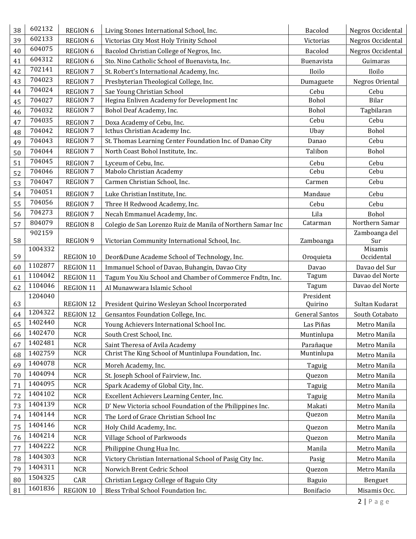| 38 | 602132  | <b>REGION 6</b>  | Living Stones International School, Inc.                    | Bacolod               | Negros Occidental     |
|----|---------|------------------|-------------------------------------------------------------|-----------------------|-----------------------|
| 39 | 602133  | <b>REGION 6</b>  | Victorias City Most Holy Trinity School                     | Victorias             | Negros Occidental     |
| 40 | 604075  | <b>REGION 6</b>  | Bacolod Christian College of Negros, Inc.                   | Bacolod               | Negros Occidental     |
| 41 | 604312  | <b>REGION 6</b>  | Sto. Nino Catholic School of Buenavista, Inc.               | Buenavista            | Guimaras              |
| 42 | 702141  | <b>REGION 7</b>  | St. Robert's International Academy, Inc.                    | Iloilo                | Iloilo                |
| 43 | 704023  | <b>REGION 7</b>  | Presbyterian Theological College, Inc.                      | Dumaguete             | Negros Oriental       |
| 44 | 704024  | <b>REGION 7</b>  | Sae Young Christian School                                  | Cebu                  | Cebu                  |
| 45 | 704027  | <b>REGION 7</b>  | Hegina Enliven Academy for Development Inc                  | Bohol                 | Bilar                 |
| 46 | 704032  | <b>REGION 7</b>  | Bohol Deaf Academy, Inc.                                    | Bohol                 | Tagbilaran            |
| 47 | 704035  | <b>REGION 7</b>  | Doxa Academy of Cebu, Inc.                                  | Cebu                  | Cebu                  |
| 48 | 704042  | <b>REGION 7</b>  | Icthus Christian Academy Inc.                               | Ubay                  | Bohol                 |
| 49 | 704043  | <b>REGION 7</b>  | St. Thomas Learning Center Foundation Inc. of Danao City    | Danao                 | Cebu                  |
| 50 | 704044  | <b>REGION 7</b>  | North Coast Bohol Institute, Inc.                           | Talibon               | Bohol                 |
| 51 | 704045  | <b>REGION 7</b>  | Lyceum of Cebu, Inc.                                        | Cebu                  | Cebu                  |
| 52 | 704046  | <b>REGION 7</b>  | Mabolo Christian Academy                                    | Cebu                  | Cebu                  |
| 53 | 704047  | <b>REGION 7</b>  | Carmen Christian School, Inc.                               | Carmen                | Cebu                  |
| 54 | 704051  | <b>REGION 7</b>  | Luke Christian Institute, Inc.                              | Mandaue               | Cebu                  |
| 55 | 704056  | <b>REGION 7</b>  | Three H Redwood Academy, Inc.                               | Cebu                  | Cebu                  |
| 56 | 704273  | <b>REGION 7</b>  | Necah Emmanuel Academy, Inc.                                | Lila                  | Bohol                 |
| 57 | 804079  | <b>REGION 8</b>  | Colegio de San Lorenzo Ruiz de Manila of Northern Samar Inc | Catarman              | Northern Samar        |
|    | 902159  |                  |                                                             |                       | Zamboanga del         |
| 58 |         | <b>REGION 9</b>  | Victorian Community International School, Inc.              | Zamboanga             | Sur                   |
| 59 | 1004332 | <b>REGION 10</b> | Deor&Dune Academe School of Technology, Inc.                | Oroquieta             | Misamis<br>Occidental |
| 60 | 1102877 | REGION 11        | Immanuel School of Davao, Buhangin, Davao City              | Davao                 | Davao del Sur         |
| 61 | 1104042 | REGION 11        | Tagum You Xiu School and Chamber of Commerce Fndtn, Inc.    | Tagum                 | Davao del Norte       |
| 62 | 1104046 | REGION 11        | Al Munawwara Islamic School                                 | Tagum                 | Davao del Norte       |
|    | 1204040 |                  |                                                             | President             |                       |
| 63 | 1204322 | <b>REGION 12</b> | President Quirino Wesleyan School Incorporated              | Quirino               | Sultan Kudarat        |
| 64 | 1402440 | REGION 12        | Gensantos Foundation College, Inc.                          | <b>General Santos</b> | South Cotabato        |
| 65 |         | <b>NCR</b>       | Young Achievers International School Inc.                   | Las Piñas             | Metro Manila          |
| 66 | 1402470 | <b>NCR</b>       | South Crest School, Inc.                                    | Muntinlupa            | Metro Manila          |
| 67 | 1402481 | <b>NCR</b>       | Saint Theresa of Avila Academy                              | Parañaque             | Metro Manila          |
| 68 | 1402759 | <b>NCR</b>       | Christ The King School of Muntinlupa Foundation, Inc.       | Muntinlupa            | Metro Manila          |
| 69 | 1404078 | <b>NCR</b>       | Moreh Academy, Inc.                                         | Taguig                | Metro Manila          |
| 70 | 1404094 | <b>NCR</b>       | St. Joseph School of Fairview, Inc.                         | Quezon                | Metro Manila          |
| 71 | 1404095 | <b>NCR</b>       | Spark Academy of Global City, Inc.                          | Taguig                | Metro Manila          |
| 72 | 1404102 | NCR              | Excellent Achievers Learning Center, Inc.                   | Taguig                | Metro Manila          |
| 73 | 1404139 | <b>NCR</b>       | D' New Victoria school Foundation of the Philippines Inc.   | Makati                | Metro Manila          |
| 74 | 1404144 | <b>NCR</b>       | The Lord of Grace Christian School Inc                      | Quezon                | Metro Manila          |
| 75 | 1404146 | <b>NCR</b>       | Holy Child Academy, Inc.                                    | Quezon                | Metro Manila          |
| 76 | 1404214 | <b>NCR</b>       | Village School of Parkwoods                                 | Quezon                | Metro Manila          |
| 77 | 1404222 | <b>NCR</b>       | Philippine Chung Hua Inc.                                   | Manila                | Metro Manila          |
| 78 | 1404303 | NCR              | Victory Christian International School of Pasig City Inc.   | Pasig                 | Metro Manila          |
| 79 | 1404311 | $NCR$            | Norwich Brent Cedric School                                 | Quezon                | Metro Manila          |
| 80 | 1504325 | CAR              | Christian Legacy College of Baguio City                     | Baguio                | Benguet               |
| 81 | 1601836 | REGION 10        | Bless Tribal School Foundation Inc.                         | Bonifacio             | Misamis Occ.          |
|    |         |                  |                                                             |                       |                       |